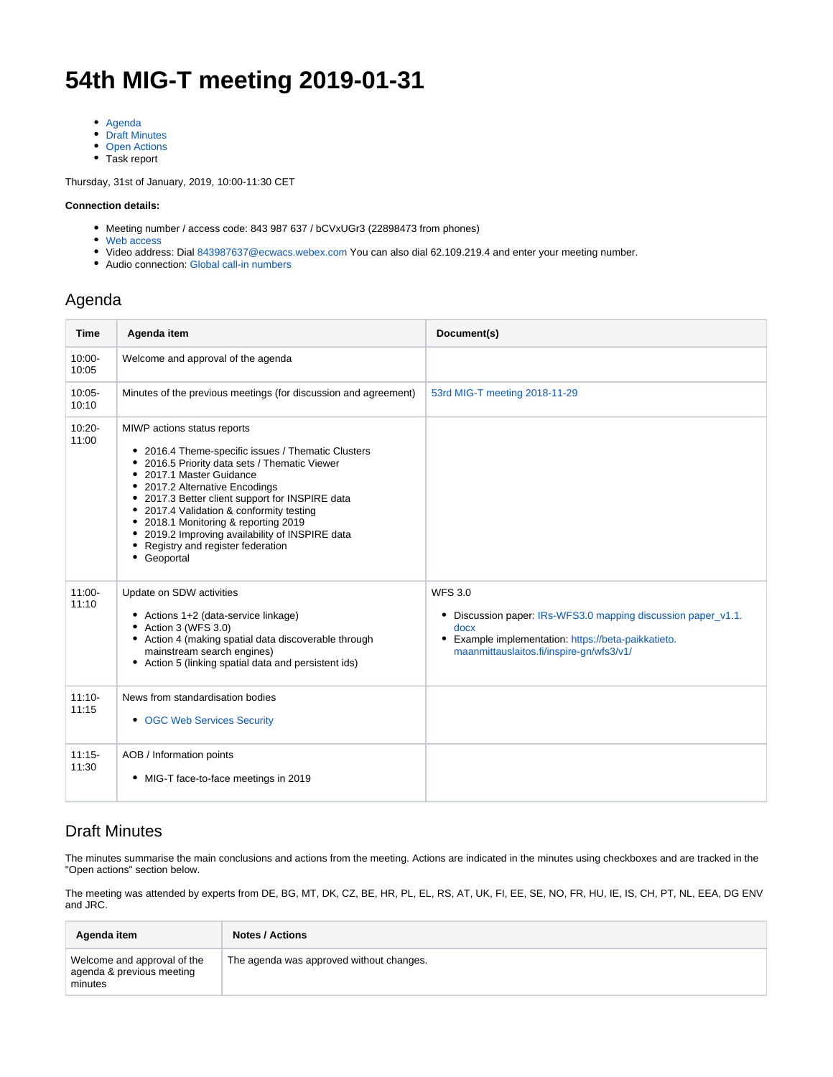# **54th MIG-T meeting 2019-01-31**

- [Agenda](#page-0-0)
- [Draft Minutes](#page-0-1)
- [Open Actions](#page-2-0)
- Task report

Thursday, 31st of January, 2019, 10:00-11:30 CET

#### **Connection details:**

- Meeting number / access code: 843 987 637 / bCVxUGr3 (22898473 from phones)
- [Web access](https://ecwacs.webex.com/ecwacs/j.php?MTID=m6f4560de0041be5a9cb9ff124e4d2981)
- Video address: Dial [843987637@ecwacs.webex.com](mailto:843987637@ecwacs.webex.com) You can also dial 62.109.219.4 and enter your meeting number.
- Audio connection: Global call-in numbers

### <span id="page-0-0"></span>Agenda

| <b>Time</b>        | Agenda item                                                                                                                                                                                                                                                                                                                                                                                                                                     | Document(s)                                                                                                                                                                                   |
|--------------------|-------------------------------------------------------------------------------------------------------------------------------------------------------------------------------------------------------------------------------------------------------------------------------------------------------------------------------------------------------------------------------------------------------------------------------------------------|-----------------------------------------------------------------------------------------------------------------------------------------------------------------------------------------------|
| $10:00 -$<br>10:05 | Welcome and approval of the agenda                                                                                                                                                                                                                                                                                                                                                                                                              |                                                                                                                                                                                               |
| $10:05 -$<br>10:10 | Minutes of the previous meetings (for discussion and agreement)                                                                                                                                                                                                                                                                                                                                                                                 | 53rd MIG-T meeting 2018-11-29                                                                                                                                                                 |
| $10:20 -$<br>11:00 | MIWP actions status reports<br>• 2016.4 Theme-specific issues / Thematic Clusters<br>• 2016.5 Priority data sets / Thematic Viewer<br>• 2017.1 Master Guidance<br>• 2017.2 Alternative Encodings<br>• 2017.3 Better client support for INSPIRE data<br>• 2017.4 Validation & conformity testing<br>• 2018.1 Monitoring & reporting 2019<br>• 2019.2 Improving availability of INSPIRE data<br>• Registry and register federation<br>• Geoportal |                                                                                                                                                                                               |
| $11:00 -$<br>11:10 | Update on SDW activities<br>• Actions 1+2 (data-service linkage)<br>• Action 3 (WFS 3.0)<br>• Action 4 (making spatial data discoverable through<br>mainstream search engines)<br>• Action 5 (linking spatial data and persistent ids)                                                                                                                                                                                                          | <b>WFS 3.0</b><br>• Discussion paper: IRs-WFS3.0 mapping discussion paper_v1.1.<br>docx<br>Example implementation: https://beta-paikkatieto.<br>٠<br>maanmittauslaitos.fi/inspire-gn/wfs3/v1/ |
| $11:10-$<br>11:15  | News from standardisation bodies<br>• OGC Web Services Security                                                                                                                                                                                                                                                                                                                                                                                 |                                                                                                                                                                                               |
| $11:15-$<br>11:30  | AOB / Information points<br>• MIG-T face-to-face meetings in 2019                                                                                                                                                                                                                                                                                                                                                                               |                                                                                                                                                                                               |

#### <span id="page-0-1"></span>Draft Minutes

The minutes summarise the main conclusions and actions from the meeting. Actions are indicated in the minutes using checkboxes and are tracked in the "Open actions" section below.

The meeting was attended by experts from DE, BG, MT, DK, CZ, BE, HR, PL, EL, RS, AT, UK, FI, EE, SE, NO, FR, HU, IE, IS, CH, PT, NL, EEA, DG ENV and JRC.

| Agenda item                                                         | <b>Notes / Actions</b>                   |
|---------------------------------------------------------------------|------------------------------------------|
| Welcome and approval of the<br>agenda & previous meeting<br>minutes | The agenda was approved without changes. |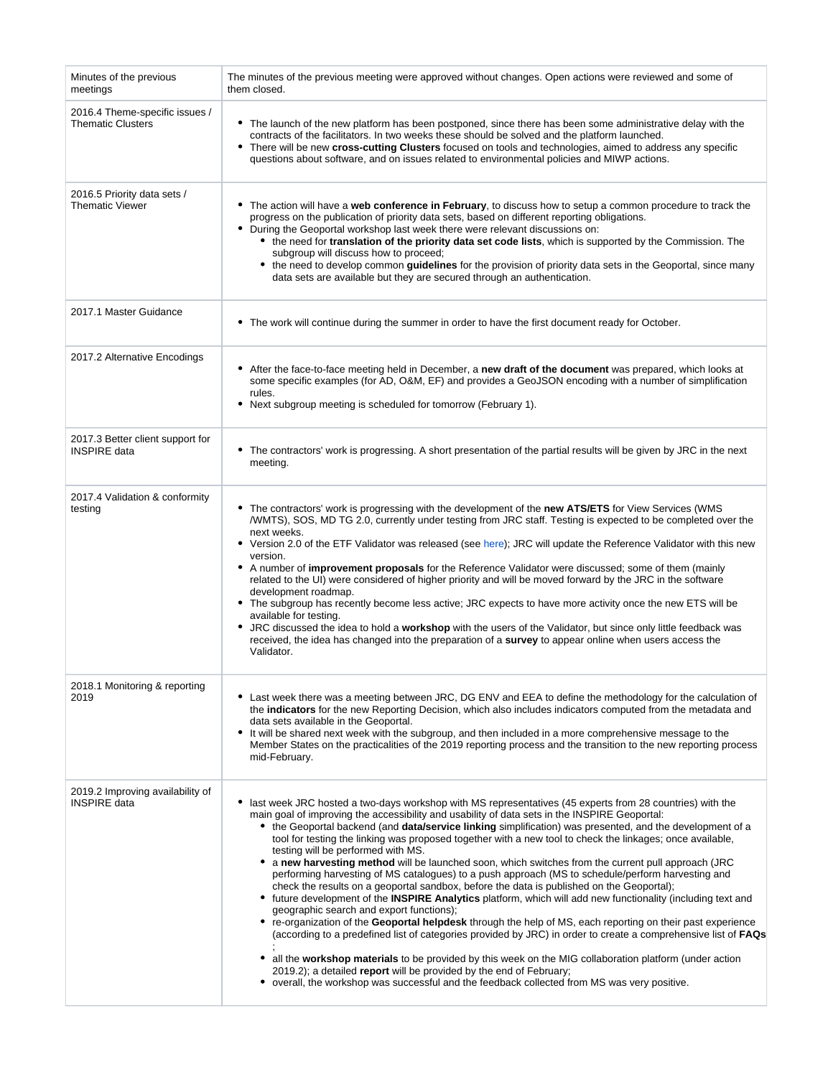| Minutes of the previous<br>meetings                        | The minutes of the previous meeting were approved without changes. Open actions were reviewed and some of<br>them closed.                                                                                                                                                                                                                                                                                                                                                                                                                                                                                                                                                                                                                                                                                                                                                                                                                                                                                                                                                                                                                                                                                                                                                                                                                                                                                                                                        |
|------------------------------------------------------------|------------------------------------------------------------------------------------------------------------------------------------------------------------------------------------------------------------------------------------------------------------------------------------------------------------------------------------------------------------------------------------------------------------------------------------------------------------------------------------------------------------------------------------------------------------------------------------------------------------------------------------------------------------------------------------------------------------------------------------------------------------------------------------------------------------------------------------------------------------------------------------------------------------------------------------------------------------------------------------------------------------------------------------------------------------------------------------------------------------------------------------------------------------------------------------------------------------------------------------------------------------------------------------------------------------------------------------------------------------------------------------------------------------------------------------------------------------------|
| 2016.4 Theme-specific issues /<br><b>Thematic Clusters</b> | • The launch of the new platform has been postponed, since there has been some administrative delay with the<br>contracts of the facilitators. In two weeks these should be solved and the platform launched.<br>• There will be new cross-cutting Clusters focused on tools and technologies, aimed to address any specific<br>questions about software, and on issues related to environmental policies and MIWP actions.                                                                                                                                                                                                                                                                                                                                                                                                                                                                                                                                                                                                                                                                                                                                                                                                                                                                                                                                                                                                                                      |
| 2016.5 Priority data sets /<br><b>Thematic Viewer</b>      | • The action will have a web conference in February, to discuss how to setup a common procedure to track the<br>progress on the publication of priority data sets, based on different reporting obligations.<br>• During the Geoportal workshop last week there were relevant discussions on:<br>• the need for translation of the priority data set code lists, which is supported by the Commission. The<br>subgroup will discuss how to proceed;<br>• the need to develop common guidelines for the provision of priority data sets in the Geoportal, since many<br>data sets are available but they are secured through an authentication.                                                                                                                                                                                                                                                                                                                                                                                                                                                                                                                                                                                                                                                                                                                                                                                                                   |
| 2017.1 Master Guidance                                     | • The work will continue during the summer in order to have the first document ready for October.                                                                                                                                                                                                                                                                                                                                                                                                                                                                                                                                                                                                                                                                                                                                                                                                                                                                                                                                                                                                                                                                                                                                                                                                                                                                                                                                                                |
| 2017.2 Alternative Encodings                               | • After the face-to-face meeting held in December, a new draft of the document was prepared, which looks at<br>some specific examples (for AD, O&M, EF) and provides a GeoJSON encoding with a number of simplification<br>rules.<br>• Next subgroup meeting is scheduled for tomorrow (February 1).                                                                                                                                                                                                                                                                                                                                                                                                                                                                                                                                                                                                                                                                                                                                                                                                                                                                                                                                                                                                                                                                                                                                                             |
| 2017.3 Better client support for<br><b>INSPIRE</b> data    | • The contractors' work is progressing. A short presentation of the partial results will be given by JRC in the next<br>meeting.                                                                                                                                                                                                                                                                                                                                                                                                                                                                                                                                                                                                                                                                                                                                                                                                                                                                                                                                                                                                                                                                                                                                                                                                                                                                                                                                 |
| 2017.4 Validation & conformity<br>testing                  | • The contractors' work is progressing with the development of the new ATS/ETS for View Services (WMS<br>/WMTS), SOS, MD TG 2.0, currently under testing from JRC staff. Testing is expected to be completed over the<br>next weeks.<br>• Version 2.0 of the ETF Validator was released (see here); JRC will update the Reference Validator with this new<br>version.<br>• A number of improvement proposals for the Reference Validator were discussed; some of them (mainly<br>related to the UI) were considered of higher priority and will be moved forward by the JRC in the software<br>development roadmap.<br>• The subgroup has recently become less active; JRC expects to have more activity once the new ETS will be<br>available for testing.<br>• JRC discussed the idea to hold a workshop with the users of the Validator, but since only little feedback was<br>received, the idea has changed into the preparation of a survey to appear online when users access the<br>Validator.                                                                                                                                                                                                                                                                                                                                                                                                                                                           |
| 2018.1 Monitoring & reporting<br>2019                      | • Last week there was a meeting between JRC, DG ENV and EEA to define the methodology for the calculation of<br>the <b>indicators</b> for the new Reporting Decision, which also includes indicators computed from the metadata and<br>data sets available in the Geoportal.<br>• It will be shared next week with the subgroup, and then included in a more comprehensive message to the<br>Member States on the practicalities of the 2019 reporting process and the transition to the new reporting process<br>mid-February.                                                                                                                                                                                                                                                                                                                                                                                                                                                                                                                                                                                                                                                                                                                                                                                                                                                                                                                                  |
| 2019.2 Improving availability of<br><b>INSPIRE</b> data    | last week JRC hosted a two-days workshop with MS representatives (45 experts from 28 countries) with the<br>main goal of improving the accessibility and usability of data sets in the INSPIRE Geoportal:<br>• the Geoportal backend (and data/service linking simplification) was presented, and the development of a<br>tool for testing the linking was proposed together with a new tool to check the linkages; once available,<br>testing will be performed with MS.<br>a new harvesting method will be launched soon, which switches from the current pull approach (JRC<br>performing harvesting of MS catalogues) to a push approach (MS to schedule/perform harvesting and<br>check the results on a geoportal sandbox, before the data is published on the Geoportal);<br>• future development of the INSPIRE Analytics platform, which will add new functionality (including text and<br>geographic search and export functions);<br>• re-organization of the Geoportal helpdesk through the help of MS, each reporting on their past experience<br>(according to a predefined list of categories provided by JRC) in order to create a comprehensive list of FAQs<br>• all the workshop materials to be provided by this week on the MIG collaboration platform (under action<br>2019.2); a detailed report will be provided by the end of February;<br>• overall, the workshop was successful and the feedback collected from MS was very positive. |